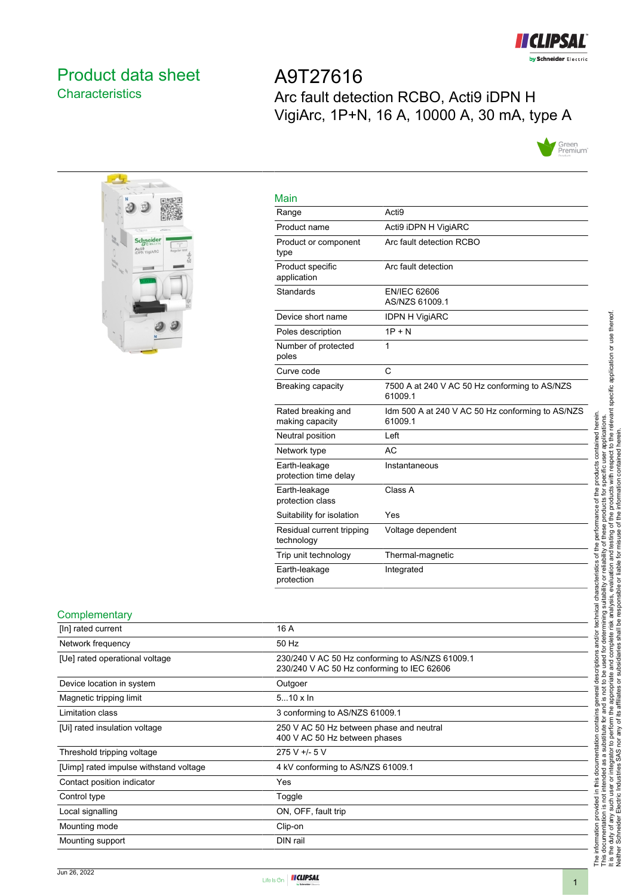

# <span id="page-0-0"></span>Product data sheet **Characteristics**

A9T27616 Arc fault detection RCBO, Acti9 iDPN H VigiArc, 1P+N, 16 A, 10000 A, 30 mA, type A





| Main                                    |                                                             |
|-----------------------------------------|-------------------------------------------------------------|
| Range                                   | Acti <sub>9</sub>                                           |
| Product name                            | Acti9 iDPN H VigiARC                                        |
| Product or component<br>type            | Arc fault detection RCBO                                    |
| Product specific<br>application         | Arc fault detection                                         |
| Standards                               | <b>EN/IEC 62606</b><br>AS/NZS 61009.1                       |
| Device short name                       | <b>IDPN H VigiARC</b>                                       |
| Poles description                       | $1P + N$                                                    |
| Number of protected<br>poles            | 1                                                           |
| Curve code                              | C                                                           |
| Breaking capacity                       | 7500 A at 240 V AC 50 Hz conforming to AS/NZS<br>61009.1    |
| Rated breaking and<br>making capacity   | Idm 500 A at 240 V AC 50 Hz conforming to AS/NZS<br>61009.1 |
| Neutral position                        | Left                                                        |
| Network type                            | AC                                                          |
| Earth-leakage<br>protection time delay  | Instantaneous                                               |
| Earth-leakage<br>protection class       | Class A                                                     |
| Suitability for isolation               | Yes                                                         |
| Residual current tripping<br>technology | Voltage dependent                                           |
| Trip unit technology                    | Thermal-magnetic                                            |
| Earth-leakage<br>protection             | Integrated                                                  |

#### **Complementary**

| <u>----------------</u>                |                                                                                               |
|----------------------------------------|-----------------------------------------------------------------------------------------------|
| [In] rated current                     | 16 A                                                                                          |
| Network frequency                      | 50 Hz                                                                                         |
| [Ue] rated operational voltage         | 230/240 V AC 50 Hz conforming to AS/NZS 61009.1<br>230/240 V AC 50 Hz conforming to IEC 62606 |
| Device location in system              | Outgoer                                                                                       |
| Magnetic tripping limit                | $510 \times \ln$                                                                              |
| Limitation class                       | 3 conforming to AS/NZS 61009.1                                                                |
| [Ui] rated insulation voltage          | 250 V AC 50 Hz between phase and neutral<br>400 V AC 50 Hz between phases                     |
| Threshold tripping voltage             | $275 V + 5 V$                                                                                 |
| [Uimp] rated impulse withstand voltage | 4 kV conforming to AS/NZS 61009.1                                                             |
| Contact position indicator             | Yes                                                                                           |
| Control type                           | Toggle                                                                                        |
| Local signalling                       | ON, OFF, fault trip                                                                           |
| Mounting mode                          | Clip-on                                                                                       |
| Mounting support                       | DIN rail                                                                                      |
|                                        |                                                                                               |